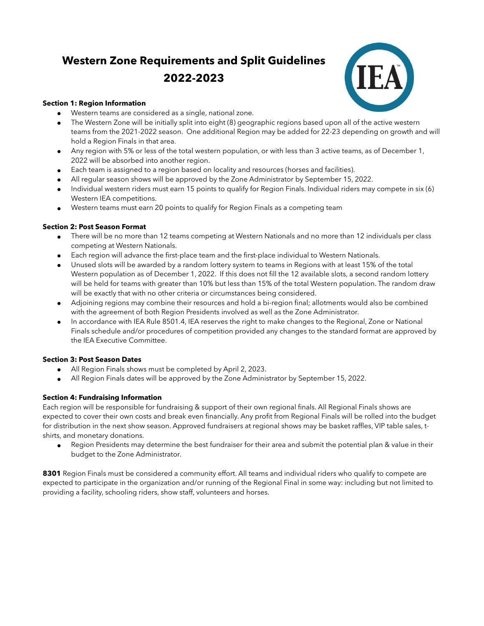# **Western Zone Requirements and Split Guidelines 2022-2023**



#### **Section 1: Region Information**

- Western teams are considered as a single, national zone.
- The Western Zone will be initially split into eight (8) geographic regions based upon all of the active western teams from the 2021-2022 season. One additional Region may be added for 22-23 depending on growth and will hold a Region Finals in that area.
- Any region with 5% or less of the total western population, or with less than 3 active teams, as of December 1, 2022 will be absorbed into another region.
- Each team is assigned to a region based on locality and resources (horses and facilities).
- All regular season shows will be approved by the Zone Administrator by September 15, 2022.
- Individual western riders must earn 15 points to qualify for Region Finals. Individual riders may compete in six (6) Western IEA competitions.
- Western teams must earn 20 points to qualify for Region Finals as a competing team

### **Section 2: Post Season Format**

- There will be no more than 12 teams competing at Western Nationals and no more than 12 individuals per class competing at Western Nationals.
- Each region will advance the first-place team and the first-place individual to Western Nationals.
- Unused slots will be awarded by a random lottery system to teams in Regions with at least 15% of the total Western population as of December 1, 2022. If this does not fill the 12 available slots, a second random lottery will be held for teams with greater than 10% but less than 15% of the total Western population. The random draw will be exactly that with no other criteria or circumstances being considered.
- Adjoining regions may combine their resources and hold a bi-region final; allotments would also be combined with the agreement of both Region Presidents involved as well as the Zone Administrator.
- In accordance with IEA Rule 8501.4, IEA reserves the right to make changes to the Regional, Zone or National Finals schedule and/or procedures of competition provided any changes to the standard format are approved by the IEA Executive Committee.

#### **Section 3: Post Season Dates**

- All Region Finals shows must be completed by April 2, 2023.
- All Region Finals dates will be approved by the Zone Administrator by September 15, 2022.

## **Section 4: Fundraising Information**

Each region will be responsible for fundraising & support of their own regional finals. All Regional Finals shows are expected to cover their own costs and break even financially. Any profit from Regional Finals will be rolled into the budget for distribution in the next show season. Approved fundraisers at regional shows may be basket raffles, VIP table sales, tshirts, and monetary donations.

Region Presidents may determine the best fundraiser for their area and submit the potential plan & value in their budget to the Zone Administrator.

**8301** Region Finals must be considered a community effort. All teams and individual riders who qualify to compete are expected to participate in the organization and/or running of the Regional Final in some way: including but not limited to providing a facility, schooling riders, show staff, volunteers and horses.